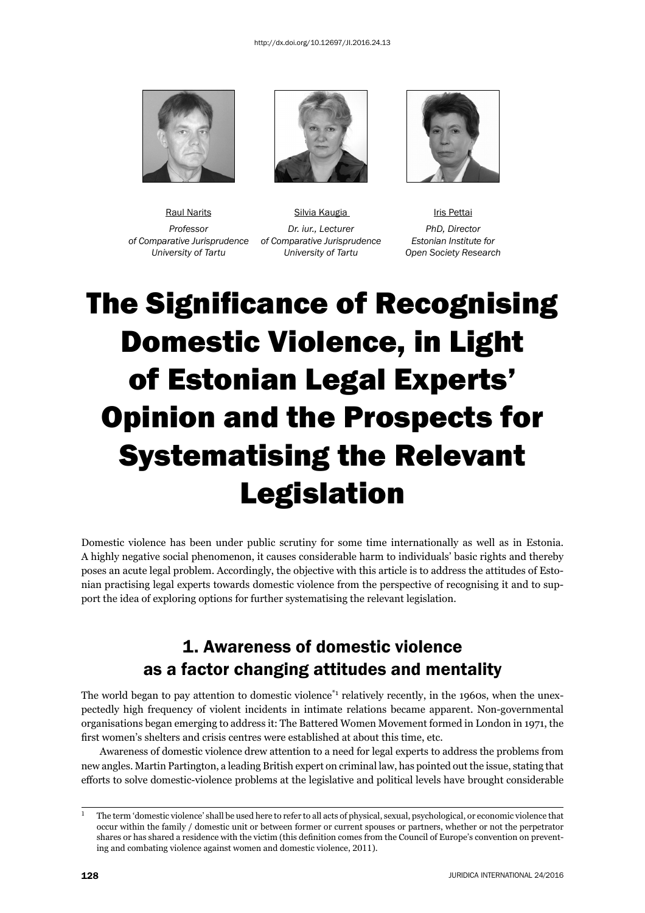

 *of Comparative Jurisprudence of Comparative Jurisprudence Estonian Institute for* 



Raul Narits **National Silvia Kaugia III** Inis Pettai Professor **Dr.** iur., Lecturer PhD, Director  *University of Tartu University of Tartu Open Society Research*



## **The Significance of Recognising** Domestic Violence, in Light of Estonian Legal Experts' Opinion and the Prospects for Systematising the Relevant Legislation

Domestic violence has been under public scrutiny for some time internationally as well as in Estonia. A highly negative social phenomenon, it causes considerable harm to individuals' basic rights and thereby poses an acute legal problem. Accordingly, the objective with this article is to address the attitudes of Estonian practising legal experts towards domestic violence from the perspective of recognising it and to support the idea of exploring options for further systematising the relevant legislation.

## 1. Awareness of domestic violence as a factor changing attitudes and mentality

The world began to pay attention to domestic violence<sup>\*1</sup> relatively recently, in the 1960s, when the unexpectedly high frequency of violent incidents in intimate relations became apparent. Non-governmental organisations began emerging to address it: The Battered Women Movement formed in London in 1971, the first women's shelters and crisis centres were established at about this time, etc.

Awareness of domestic violence drew attention to a need for legal experts to address the problems from new angles. Martin Partington, a leading British expert on criminal law, has pointed out the issue, stating that efforts to solve domestic-violence problems at the legislative and political levels have brought considerable

 $1$  The term 'domestic violence' shall be used here to refer to all acts of physical, sexual, psychological, or economic violence that occur within the family / domestic unit or between former or current spouses or partners, whether or not the perpetrator shares or has shared a residence with the victim (this definition comes from the Council of Europe's convention on preventing and combating violence against women and domestic violence, 2011).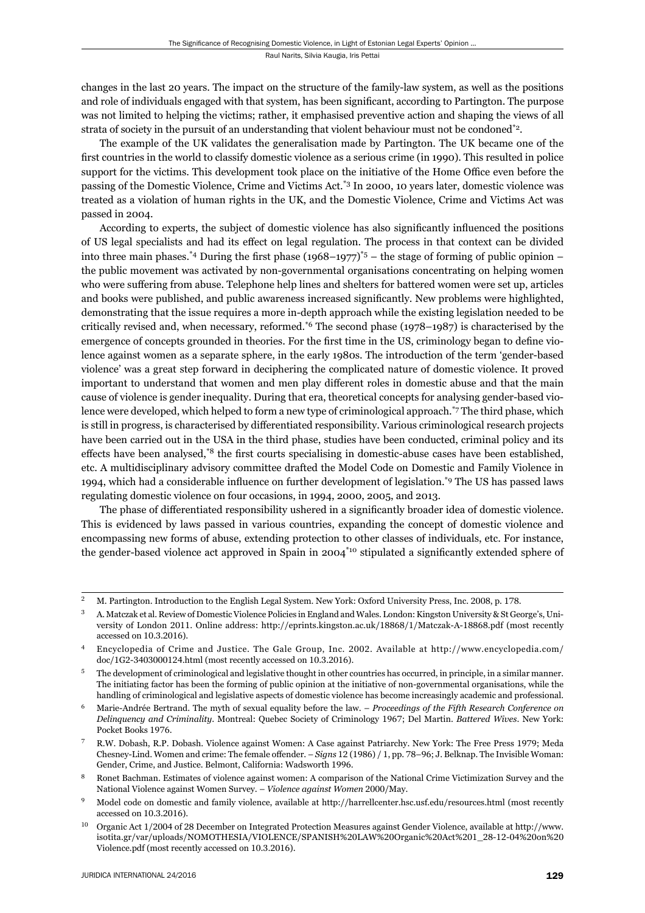changes in the last 20 years. The impact on the structure of the family-law system, as well as the positions and role of individuals engaged with that system, has been significant, according to Partington. The purpose was not limited to helping the victims; rather, it emphasised preventive action and shaping the views of all strata of society in the pursuit of an understanding that violent behaviour must not be condoned\*2.

The example of the UK validates the generalisation made by Partington. The UK became one of the first countries in the world to classify domestic violence as a serious crime (in 1990). This resulted in police support for the victims. This development took place on the initiative of the Home Office even before the passing of the Domestic Violence, Crime and Victims Act.\*3 In 2000, 10 years later, domestic violence was treated as a violation of human rights in the UK, and the Domestic Violence, Crime and Victims Act was passed in 2004.

According to experts, the subject of domestic violence has also significantly influenced the positions of US legal specialists and had its effect on legal regulation. The process in that context can be divided into three main phases.\*4 During the first phase  $(1968-1977)^{*}5$  – the stage of forming of public opinion – the public movement was activated by non-governmental organisations concentrating on helping women who were suffering from abuse. Telephone help lines and shelters for battered women were set up, articles and books were published, and public awareness increased significantly. New problems were highlighted, demonstrating that the issue requires a more in-depth approach while the existing legislation needed to be critically revised and, when necessary, reformed.<sup>\*6</sup> The second phase (1978–1987) is characterised by the emergence of concepts grounded in theories. For the first time in the US, criminology began to define violence against women as a separate sphere, in the early 1980s. The introduction of the term 'gender-based violence' was a great step forward in deciphering the complicated nature of domestic violence. It proved important to understand that women and men play different roles in domestic abuse and that the main cause of violence is gender inequality. During that era, theoretical concepts for analysing gender-based violence were developed, which helped to form a new type of criminological approach.<sup>\*7</sup> The third phase, which is still in progress, is characterised by differentiated responsibility. Various criminological research projects have been carried out in the USA in the third phase, studies have been conducted, criminal policy and its effects have been analysed,<sup>\*8</sup> the first courts specialising in domestic-abuse cases have been established, etc. A multidisciplinary advisory committee drafted the Model Code on Domestic and Family Violence in 1994, which had a considerable influence on further development of legislation.<sup>\*9</sup> The US has passed laws regulating domestic violence on four occasions, in 1994, 2000, 2005, and 2013.

The phase of differentiated responsibility ushered in a significantly broader idea of domestic violence. This is evidenced by laws passed in various countries, expanding the concept of domestic violence and encompassing new forms of abuse, extending protection to other classes of individuals, etc. For instance, the gender-based violence act approved in Spain in  $2004^{10}$  stipulated a significantly extended sphere of

<sup>&</sup>lt;sup>2</sup> M. Partington. Introduction to the English Legal System. New York: Oxford University Press, Inc. 2008, p. 178.

ɴ A. Matczak et al. Review of Domestic Violence Policies in England and Wales. London: Kingston University & St George's, University of London 2011. Online address: http://eprints.kingston.ac.uk/18868/1/Matczak-A-18868.pdf (most recently accessed on 10.3.2016).

Encyclopedia of Crime and Justice. The Gale Group, Inc. 2002. Available at http://www.encyclopedia.com/ doc/1G2-3403000124.html (most recently accessed on 10.3.2016).

<sup>ɶ</sup> The development of criminological and legislative thought in other countries has occurred, in principle, in a similar manner. The initiating factor has been the forming of public opinion at the initiative of non-governmental organisations, while the handling of criminological and legislative aspects of domestic violence has become increasingly academic and professional.

<sup>ɷ</sup> Marie-Andrée Bertrand. The myth of sexual equality before the law. – *Proceedings of the Fifth Research Conference on Delinquency and Criminality*. Montreal: Quebec Society of Criminology 1967; Del Martin. *Battered Wives*. New York: Pocket Books 1976.

R.W. Dobash, R.P. Dobash. Violence against Women: A Case against Patriarchy. New York: The Free Press 1979; Meda Chesney-Lind. Women and crime: The female offender. – *Signs* 12 (1986) / 1, pp. 78–96; J. Belknap. The Invisible Woman: Gender, Crime, and Justice. Belmont, California: Wadsworth 1996.

Ronet Bachman. Estimates of violence against women: A comparison of the National Crime Victimization Survey and the National Violence against Women Survey. - *Violence against Women* 2000/May.

<sup>ɺ</sup> Model code on domestic and family violence, available at http://harrellcenter.hsc.usf.edu/resources.html (most recently accessed on 10.3.2016).

Organic Act 1/2004 of 28 December on Integrated Protection Measures against Gender Violence, available at http://www. isotita.gr/var/uploads/NOMOTHESIA/VIOLENCE/SPANISH%20LAW%20Organic%20Act%201\_28-12-04%20on%20 Violence.pdf (most recently accessed on 10.3.2016).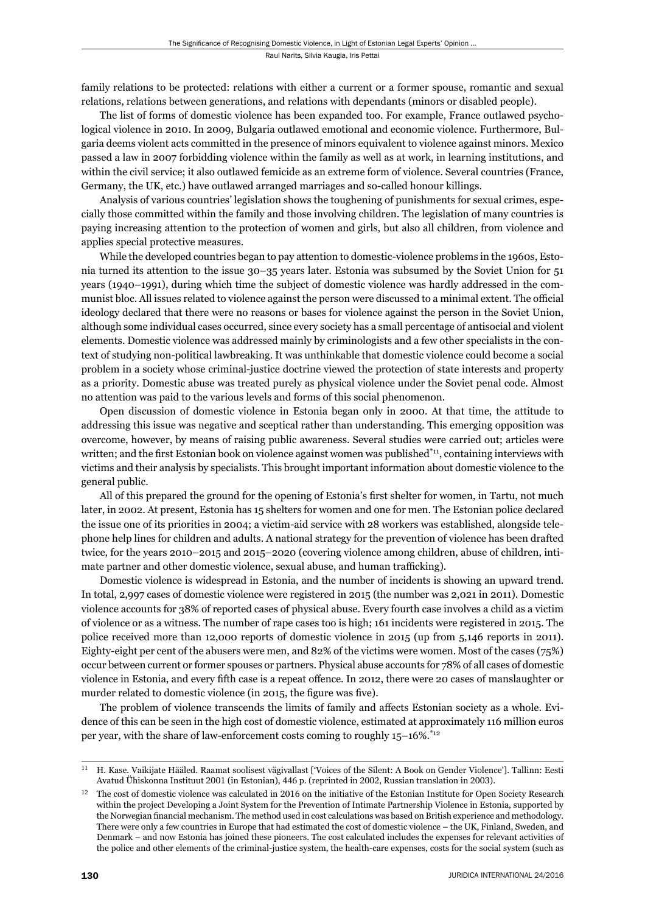family relations to be protected: relations with either a current or a former spouse, romantic and sexual relations, relations between generations, and relations with dependants (minors or disabled people).

The list of forms of domestic violence has been expanded too. For example, France outlawed psychological violence in 2010. In 2009, Bulgaria outlawed emotional and economic violence. Furthermore, Bulgaria deems violent acts committed in the presence of minors equivalent to violence against minors. Mexico passed a law in 2007 forbidding violence within the family as well as at work, in learning institutions, and within the civil service; it also outlawed femicide as an extreme form of violence. Several countries (France, Germany, the UK, etc.) have outlawed arranged marriages and so-called honour killings.

Analysis of various countries' legislation shows the toughening of punishments for sexual crimes, especially those committed within the family and those involving children. The legislation of many countries is paying increasing attention to the protection of women and girls, but also all children, from violence and applies special protective measures.

While the developed countries began to pay attention to domestic-violence problems in the 1960s, Estonia turned its attention to the issue 30–35 years later. Estonia was subsumed by the Soviet Union for 51 years (1940–1991), during which time the subject of domestic violence was hardly addressed in the communist bloc. All issues related to violence against the person were discussed to a minimal extent. The official ideology declared that there were no reasons or bases for violence against the person in the Soviet Union, although some individual cases occurred, since every society has a small percentage of antisocial and violent elements. Domestic violence was addressed mainly by criminologists and a few other specialists in the context of studying non-political lawbreaking. It was unthinkable that domestic violence could become a social problem in a society whose criminal-justice doctrine viewed the protection of state interests and property as a priority. Domestic abuse was treated purely as physical violence under the Soviet penal code. Almost no attention was paid to the various levels and forms of this social phenomenon.

Open discussion of domestic violence in Estonia began only in 2000. At that time, the attitude to addressing this issue was negative and sceptical rather than understanding. This emerging opposition was overcome, however, by means of raising public awareness. Several studies were carried out; articles were written; and the first Estonian book on violence against women was published $*_{11}$ , containing interviews with victims and their analysis by specialists. This brought important information about domestic violence to the general public.

All of this prepared the ground for the opening of Estonia's first shelter for women, in Tartu, not much later, in 2002. At present, Estonia has 15 shelters for women and one for men. The Estonian police declared the issue one of its priorities in 2004; a victim-aid service with 28 workers was established, alongside telephone help lines for children and adults. A national strategy for the prevention of violence has been drafted twice, for the years 2010–2015 and 2015–2020 (covering violence among children, abuse of children, intimate partner and other domestic violence, sexual abuse, and human trafficking).

Domestic violence is widespread in Estonia, and the number of incidents is showing an upward trend. In total, 2,997 cases of domestic violence were registered in 2015 (the number was 2,021 in 2011). Domestic violence accounts for 38% of reported cases of physical abuse. Every fourth case involves a child as a victim of violence or as a witness. The number of rape cases too is high; 161 incidents were registered in 2015. The police received more than 12,000 reports of domestic violence in 2015 (up from 5,146 reports in 2011). Eighty-eight per cent of the abusers were men, and 82% of the victims were women. Most of the cases (75%) occur between current or former spouses or partners. Physical abuse accounts for 78% of all cases of domestic violence in Estonia, and every fifth case is a repeat offence. In 2012, there were 20 cases of manslaughter or murder related to domestic violence (in 2015, the figure was five).

The problem of violence transcends the limits of family and affects Estonian society as a whole. Evidence of this can be seen in the high cost of domestic violence, estimated at approximately 116 million euros per year, with the share of law-enforcement costs coming to roughly 15–16%.\*12

ɲɲ H. Kase. Vaikijate Hääled. Raamat soolisest vägivallast ['Voices of the Silent: A Book on Gender Violence']. Tallinn: Eesti Avatud Ühiskonna Instituut 2001 (in Estonian), 446 p. (reprinted in 2002, Russian translation in 2003).

 $12$  The cost of domestic violence was calculated in 2016 on the initiative of the Estonian Institute for Open Society Research within the project Developing a Joint System for the Prevention of Intimate Partnership Violence in Estonia, supported by the Norwegian financial mechanism. The method used in cost calculations was based on British experience and methodology. There were only a few countries in Europe that had estimated the cost of domestic violence – the UK, Finland, Sweden, and Denmark – and now Estonia has joined these pioneers. The cost calculated includes the expenses for relevant activities of the police and other elements of the criminal-justice system, the health-care expenses, costs for the social system (such as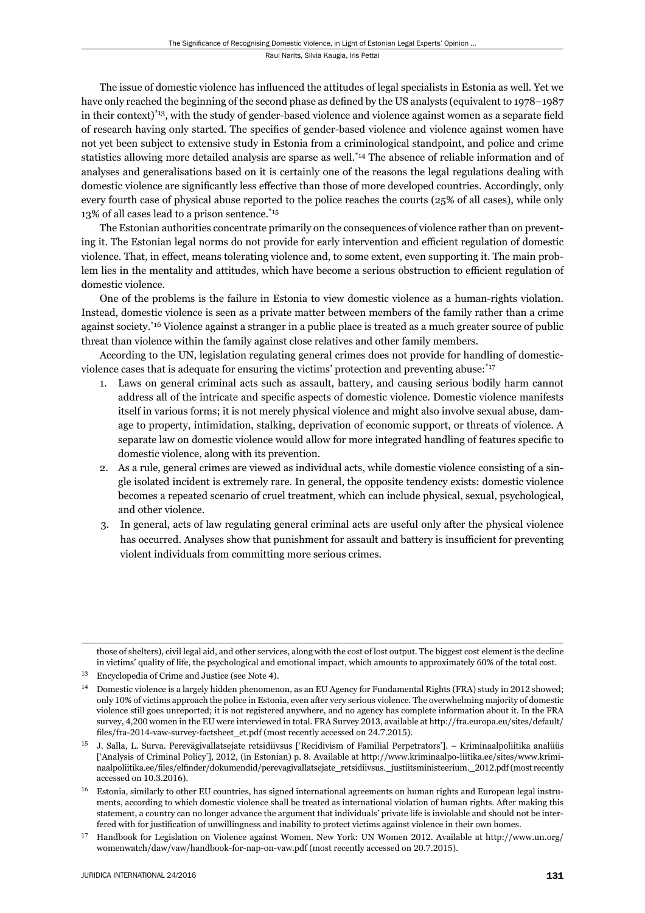The issue of domestic violence has influenced the attitudes of legal specialists in Estonia as well. Yet we have only reached the beginning of the second phase as defined by the US analysts (equivalent to 1978–1987 in their context)<sup>\*13</sup>, with the study of gender-based violence and violence against women as a separate field of research having only started. The specifics of gender-based violence and violence against women have not yet been subject to extensive study in Estonia from a criminological standpoint, and police and crime statistics allowing more detailed analysis are sparse as well.\*14 The absence of reliable information and of analyses and generalisations based on it is certainly one of the reasons the legal regulations dealing with domestic violence are significantly less effective than those of more developed countries. Accordingly, only every fourth case of physical abuse reported to the police reaches the courts (25% of all cases), while only 13% of all cases lead to a prison sentence.\*15

The Estonian authorities concentrate primarily on the consequences of violence rather than on preventing it. The Estonian legal norms do not provide for early intervention and efficient regulation of domestic violence. That, in effect, means tolerating violence and, to some extent, even supporting it. The main problem lies in the mentality and attitudes, which have become a serious obstruction to efficient regulation of domestic violence.

One of the problems is the failure in Estonia to view domestic violence as a human-rights violation. Instead, domestic violence is seen as a private matter between members of the family rather than a crime against society.<sup>\*16</sup> Violence against a stranger in a public place is treated as a much greater source of public threat than violence within the family against close relatives and other family members.

According to the UN, legislation regulating general crimes does not provide for handling of domesticviolence cases that is adequate for ensuring the victims' protection and preventing abuse:<sup>\*17</sup>

- 1. Laws on general criminal acts such as assault, battery, and causing serious bodily harm cannot address all of the intricate and specific aspects of domestic violence. Domestic violence manifests itself in various forms; it is not merely physical violence and might also involve sexual abuse, damage to property, intimidation, stalking, deprivation of economic support, or threats of violence. A separate law on domestic violence would allow for more integrated handling of features specific to domestic violence, along with its prevention.
- 2. As a rule, general crimes are viewed as individual acts, while domestic violence consisting of a single isolated incident is extremely rare. In general, the opposite tendency exists: domestic violence becomes a repeated scenario of cruel treatment, which can include physical, sexual, psychological, and other violence.
- 3. In general, acts of law regulating general criminal acts are useful only after the physical violence has occurred. Analyses show that punishment for assault and battery is insufficient for preventing violent individuals from committing more serious crimes.

those of shelters), civil legal aid, and other services, along with the cost of lost output. The biggest cost element is the decline in victims' quality of life, the psychological and emotional impact, which amounts to approximately 60% of the total cost.

<sup>&</sup>lt;sup>13</sup> Encyclopedia of Crime and Justice (see Note 4).

 $14$  Domestic violence is a largely hidden phenomenon, as an EU Agency for Fundamental Rights (FRA) study in 2012 showed; only 10% of victims approach the police in Estonia, even after very serious violence. The overwhelming majority of domestic violence still goes unreported; it is not registered anywhere, and no agency has complete information about it. In the FRA survey, 4,200 women in the EU were interviewed in total. FRA Survey 2013, available at http://fra.europa.eu/sites/default/ files/fra-2014-vaw-survey-factsheet\_et.pdf (most recently accessed on 24.7.2015).

<sup>&</sup>lt;sup>15</sup> J. Salla, L. Surva. Perevägivallatsejate retsidiivsus ['Recidivism of Familial Perpetrators']. – Kriminaalpoliitika analüüs ['Analysis of Criminal Policy'], 2012, (in Estonian) p. 8. Available at http://www.kriminaalpo-liitika.ee/sites/www.kriminaalpoliitika.ee/files/elfinder/dokumendid/perevagivallatsejate\_retsidiivsus.\_justiitsministeerium.\_2012.pdf (most recently accessed on 10.3.2016).

Estonia, similarly to other EU countries, has signed international agreements on human rights and European legal instruments, according to which domestic violence shall be treated as international violation of human rights. After making this statement, a country can no longer advance the argument that individuals' private life is inviolable and should not be interfered with for justification of unwillingness and inability to protect victims against violence in their own homes.

<sup>&</sup>lt;sup>17</sup> Handbook for Legislation on Violence against Women. New York: UN Women 2012. Available at http://www.un.org/ womenwatch/daw/vaw/handbook-for-nap-on-vaw.pdf (most recently accessed on 20.7.2015).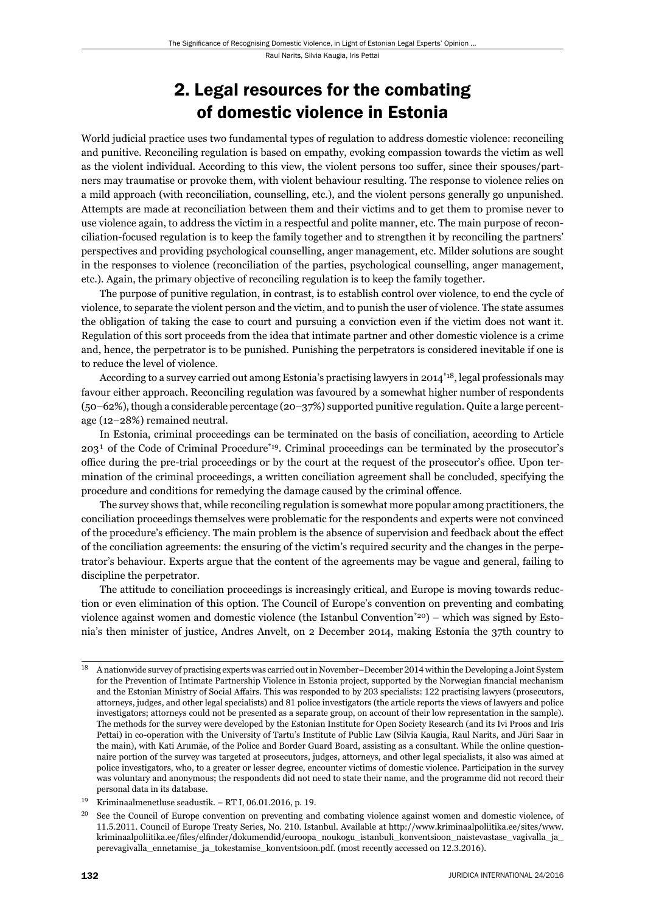## 2. Legal resources for the combating of domestic violence in Estonia

World judicial practice uses two fundamental types of regulation to address domestic violence: reconciling and punitive. Reconciling regulation is based on empathy, evoking compassion towards the victim as well as the violent individual. According to this view, the violent persons too suffer, since their spouses/partners may traumatise or provoke them, with violent behaviour resulting. The response to violence relies on a mild approach (with reconciliation, counselling, etc.), and the violent persons generally go unpunished. Attempts are made at reconciliation between them and their victims and to get them to promise never to use violence again, to address the victim in a respectful and polite manner, etc. The main purpose of reconciliation-focused regulation is to keep the family together and to strengthen it by reconciling the partners' perspectives and providing psychological counselling, anger management, etc. Milder solutions are sought in the responses to violence (reconciliation of the parties, psychological counselling, anger management, etc.). Again, the primary objective of reconciling regulation is to keep the family together.

The purpose of punitive regulation, in contrast, is to establish control over violence, to end the cycle of violence, to separate the violent person and the victim, and to punish the user of violence. The state assumes the obligation of taking the case to court and pursuing a conviction even if the victim does not want it. Regulation of this sort proceeds from the idea that intimate partner and other domestic violence is a crime and, hence, the perpetrator is to be punished. Punishing the perpetrators is considered inevitable if one is to reduce the level of violence.

According to a survey carried out among Estonia's practising lawyers in 2014\*18, legal professionals may favour either approach. Reconciling regulation was favoured by a somewhat higher number of respondents (50–62%), though a considerable percentage (20–37%) supported punitive regulation. Quite a large percentage (12–28%) remained neutral.

In Estonia, criminal proceedings can be terminated on the basis of conciliation, according to Article  $203<sup>1</sup>$  of the Code of Criminal Procedure<sup>\*19</sup>. Criminal proceedings can be terminated by the prosecutor's office during the pre-trial proceedings or by the court at the request of the prosecutor's office. Upon termination of the criminal proceedings, a written conciliation agreement shall be concluded, specifying the procedure and conditions for remedying the damage caused by the criminal offence.

The survey shows that, while reconciling regulation is somewhat more popular among practitioners, the conciliation proceedings themselves were problematic for the respondents and experts were not convinced of the procedure's efficiency. The main problem is the absence of supervision and feedback about the effect of the conciliation agreements: the ensuring of the victim's required security and the changes in the perpetrator's behaviour. Experts argue that the content of the agreements may be vague and general, failing to discipline the perpetrator.

The attitude to conciliation proceedings is increasingly critical, and Europe is moving towards reduction or even elimination of this option. The Council of Europe's convention on preventing and combating violence against women and domestic violence (the Istanbul Convention\*20) – which was signed by Estonia's then minister of justice, Andres Anvelt, on 2 December 2014, making Estonia the 37th country to

 $18$  A nationwide survey of practising experts was carried out in November–December 2014 within the Developing a Joint System for the Prevention of Intimate Partnership Violence in Estonia project, supported by the Norwegian financial mechanism and the Estonian Ministry of Social Affairs. This was responded to by 203 specialists: 122 practising lawyers (prosecutors, attorneys, judges, and other legal specialists) and 81 police investigators (the article reports the views of lawyers and police investigators; attorneys could not be presented as a separate group, on account of their low representation in the sample). The methods for the survey were developed by the Estonian Institute for Open Society Research (and its Ivi Proos and Iris Pettai) in co-operation with the University of Tartu's Institute of Public Law (Silvia Kaugia, Raul Narits, and Jüri Saar in the main), with Kati Arumäe, of the Police and Border Guard Board, assisting as a consultant. While the online questionnaire portion of the survey was targeted at prosecutors, judges, attorneys, and other legal specialists, it also was aimed at police investigators, who, to a greater or lesser degree, encounter victims of domestic violence. Participation in the survey was voluntary and anonymous; the respondents did not need to state their name, and the programme did not record their personal data in its database.

<sup>&</sup>lt;sup>19</sup> Kriminaalmenetluse seadustik. – RT I, 06.01.2016, p. 19.

<sup>&</sup>lt;sup>20</sup> See the Council of Europe convention on preventing and combating violence against women and domestic violence, of 11.5.2011. Council of Europe Treaty Series, No. 210. Istanbul. Available at http://www.kriminaalpoliitika.ee/sites/www. kriminaalpoliitika.ee/files/elfinder/dokumendid/euroopa\_noukogu\_istanbuli\_konventsioon\_naistevastase\_vagivalla\_ja perevagivalla\_ennetamise\_ja\_tokestamise\_konventsioon.pdf. (most recently accessed on 12.3.2016).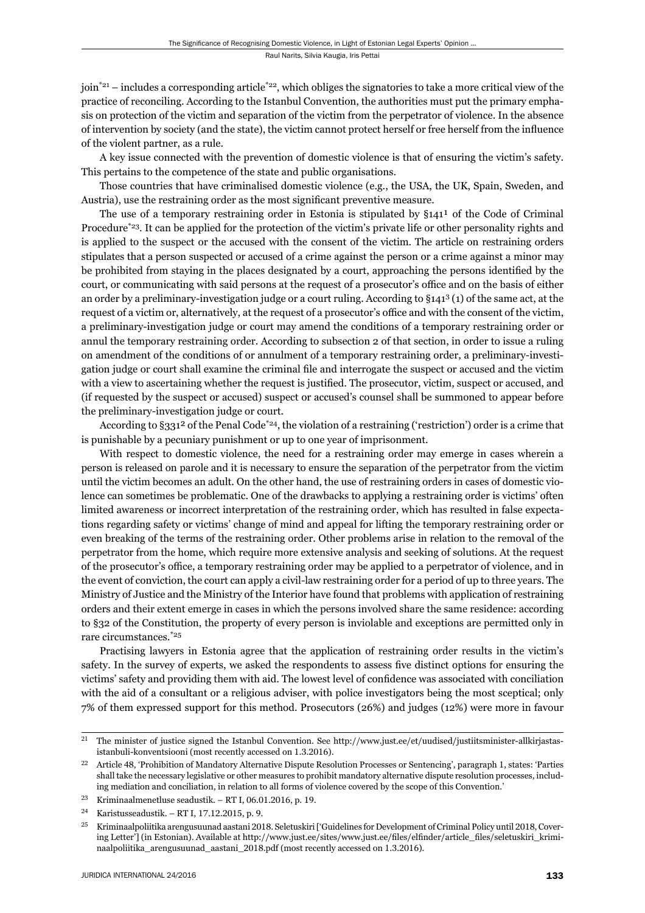join $i^{21}$  – includes a corresponding article<sup> $22$ </sup>, which obliges the signatories to take a more critical view of the practice of reconciling. According to the Istanbul Convention, the authorities must put the primary emphasis on protection of the victim and separation of the victim from the perpetrator of violence. In the absence of intervention by society (and the state), the victim cannot protect herself or free herself from the influence of the violent partner, as a rule.

A key issue connected with the prevention of domestic violence is that of ensuring the victim's safety. This pertains to the competence of the state and public organisations.

Those countries that have criminalised domestic violence (e.g., the USA, the UK, Spain, Sweden, and Austria), use the restraining order as the most significant preventive measure.

The use of a temporary restraining order in Estonia is stipulated by  $\S 141<sup>1</sup>$  of the Code of Criminal Procedure<sup>\*23</sup>. It can be applied for the protection of the victim's private life or other personality rights and is applied to the suspect or the accused with the consent of the victim. The article on restraining orders stipulates that a person suspected or accused of a crime against the person or a crime against a minor may be prohibited from staying in the places designated by a court, approaching the persons identified by the court, or communicating with said persons at the request of a prosecutor's office and on the basis of either an order by a preliminary-investigation judge or a court ruling. According to §1413 (1) of the same act, at the request of a victim or, alternatively, at the request of a prosecutor's office and with the consent of the victim, a preliminary-investigation judge or court may amend the conditions of a temporary restraining order or annul the temporary restraining order. According to subsection 2 of that section, in order to issue a ruling on amend ment of the conditions of or annulment of a temporary restraining order, a preliminary-investigation judge or court shall examine the criminal file and interrogate the suspect or accused and the victim with a view to ascertaining whether the request is justified. The prosecutor, victim, suspect or accused, and (if requested by the suspect or accused) suspect or accused's counsel shall be summoned to appear before the preliminary-investigation judge or court.

According to §331<sup>2</sup> of the Penal Code<sup>\*24</sup>, the violation of a restraining ('restriction') order is a crime that is punishable by a pecuniary punishment or up to one year of imprisonment.

With respect to domestic violence, the need for a restraining order may emerge in cases wherein a person is released on parole and it is necessary to ensure the separation of the perpetrator from the victim until the victim becomes an adult. On the other hand, the use of restraining orders in cases of domestic violence can sometimes be problematic. One of the drawbacks to applying a restraining order is victims' often limited awareness or incorrect interpretation of the restraining order, which has resulted in false expectations regarding safety or victims' change of mind and appeal for lifting the temporary restraining order or even breaking of the terms of the restraining order. Other problems arise in relation to the removal of the perpetrator from the home, which require more extensive analysis and seeking of solutions. At the request of the prosecutor's office, a temporary restraining order may be applied to a perpetrator of violence, and in the event of conviction, the court can apply a civil-law restraining order for a period of up to three years. The Ministry of Justice and the Ministry of the Interior have found that problems with application of restraining orders and their extent emerge in cases in which the persons involved share the same residence: according to §32 of the Constitution, the property of every person is inviolable and exceptions are permitted only in rare circumstances.\*25

Practising lawyers in Estonia agree that the application of restraining order results in the victim's safety. In the survey of experts, we asked the respondents to assess five distinct options for ensuring the victims' safety and providing them with aid. The lowest level of confidence was associated with conciliation with the aid of a consultant or a religious adviser, with police investigators being the most sceptical; only 7% of them expressed support for this method. Prosecutors (26%) and judges (12%) were more in favour

<sup>&</sup>lt;sup>21</sup> The minister of justice signed the Istanbul Convention. See http://www.just.ee/et/uudised/justiitsminister-allkirjastasistanbuli-konventsiooni (most recently accessed on 1.3.2016).

<sup>&</sup>lt;sup>22</sup> Article 48, 'Prohibition of Mandatory Alternative Dispute Resolution Processes or Sentencing', paragraph 1, states: 'Parties shall take the necessary legislative or other measures to prohibit mandatory alternative dispute resolution processes, including mediation and conciliation, in relation to all forms of violence covered by the scope of this Convention.'

<sup>&</sup>lt;sup>23</sup> Kriminaalmenetluse seadustik. – RT I, 06.01.2016, p. 19.

<sup>&</sup>lt;sup>24</sup> Karistusseadustik. – RT I, 17.12.2015, p. 9.

<sup>&</sup>lt;sup>25</sup> Kriminaalpoliitika arengusuunad aastani 2018. Seletuskiri ['Guidelines for Development of Criminal Policy until 2018, Covering Letter'] (in Estonian). Available at http://www.just.ee/sites/www.just.ee/files/elfinder/article\_files/seletuskiri\_kriminaalpoliitika\_arengusuunad\_aastani\_2018.pdf (most recently accessed on 1.3.2016).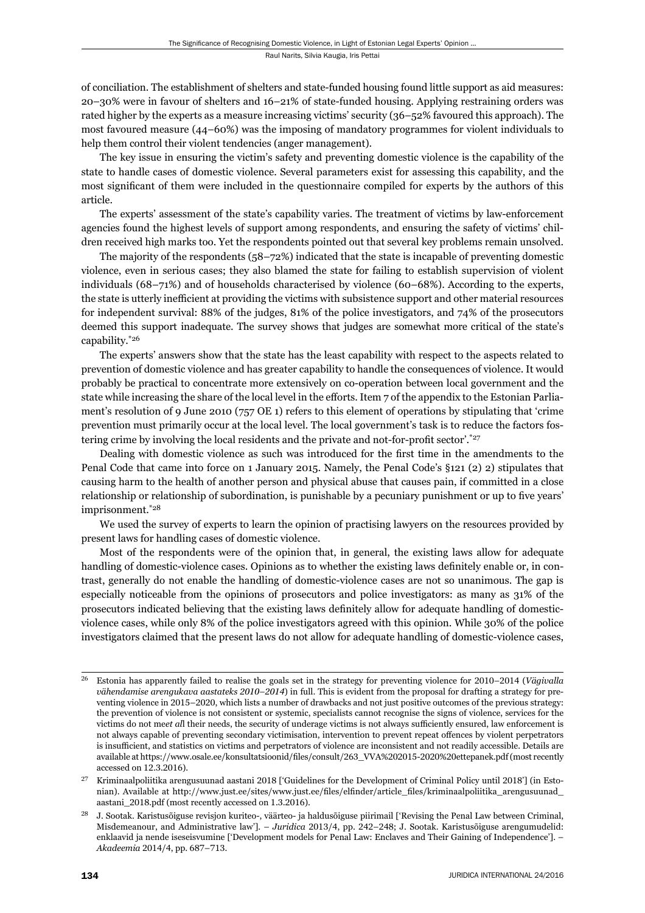of conciliation. The establishment of shelters and state-funded housing found little support as aid measures: 20–30% were in favour of shelters and 16–21% of state-funded housing. Applying restraining orders was rated higher by the experts as a measure increasing victims' security (36–52% favoured this approach). The most favoured measure (44–60%) was the imposing of mandatory programmes for violent individuals to help them control their violent tendencies (anger management).

The key issue in ensuring the victim's safety and preventing domestic violence is the capability of the state to handle cases of domestic violence. Several parameters exist for assessing this capability, and the most significant of them were included in the questionnaire compiled for experts by the authors of this article.

The experts' assessment of the state's capability varies. The treatment of victims by law-enforcement agencies found the highest levels of support among respondents, and ensuring the safety of victims' children received high marks too. Yet the respondents pointed out that several key problems remain unsolved.

The majority of the respondents (58–72%) indicated that the state is incapable of preventing domestic violence, even in serious cases; they also blamed the state for failing to establish supervision of violent individuals (68–71%) and of households characterised by violence (60–68%). According to the experts, the state is utterly inefficient at providing the victims with subsistence support and other material resources for independent survival: 88% of the judges, 81% of the police investigators, and 74% of the prosecutors deemed this support inadequate. The survey shows that judges are somewhat more critical of the state's capability.\*26

The experts' answers show that the state has the least capability with respect to the aspects related to prevention of domestic violence and has greater capability to handle the consequences of violence. It would probably be practical to concentrate more extensively on co-operation between local government and the state while increasing the share of the local level in the efforts. Item 7 of the appendix to the Estonian Parliament's resolution of 9 June 2010 (757 OE 1) refers to this element of operations by stipulating that 'crime prevention must primarily occur at the local level. The local government's task is to reduce the factors fostering crime by involving the local residents and the private and not-for-profit sector'.\*27

Dealing with domestic violence as such was introduced for the first time in the amendments to the Penal Code that came into force on 1 January 2015. Namely, the Penal Code's §121 (2) 2) stipulates that causing harm to the health of another person and physical abuse that causes pain, if committed in a close relationship or relationship of subordination, is punishable by a pecuniary punishment or up to five years' imprisonment.<sup>\*28</sup>

We used the survey of experts to learn the opinion of practising lawyers on the resources provided by present laws for handling cases of domestic violence.

Most of the respondents were of the opinion that, in general, the existing laws allow for adequate handling of domestic-violence cases. Opinions as to whether the existing laws definitely enable or, in contrast, generally do not enable the handling of domestic-violence cases are not so unanimous. The gap is especially noticeable from the opinions of prosecutors and police investigators: as many as 31% of the prosecutors indicated believing that the existing laws definitely allow for adequate handling of domesticviolence cases, while only 8% of the police investigators agreed with this opinion. While 30% of the police investigators claimed that the present laws do not allow for adequate handling of domestic-violence cases,

<sup>&</sup>lt;sup>26</sup> Estonia has apparently failed to realise the goals set in the strategy for preventing violence for 2010–2014 (Vägivalla *vähendamise arengukava aastateks 2010–2014*) in full. This is evident from the proposal for drafting a strategy for preventing violence in 2015–2020, which lists a number of drawbacks and not just positive outcomes of the previous strategy: the prevention of violence is not consistent or systemic, specialists cannot recognise the signs of violence, services for the victims do not meet all their needs, the security of underage victims is not always sufficiently ensured, law enforcement is not always capable of preventing secondary victimisation, intervention to prevent repeat offences by violent perpetrators is insufficient, and statistics on victims and perpetrators of violence are inconsistent and not readily accessible. Details are available at https://www.osale.ee/konsultatsioonid/files/consult/263 VVA%202015-2020%20ettepanek.pdf (most recently accessed on 12.3.2016).

<sup>&</sup>lt;sup>27</sup> Kriminaalpoliitika arengusuunad aastani 2018 ['Guidelines for the Development of Criminal Policy until 2018'] (in Estonian). Available at http://www.just.ee/sites/www.just.ee/files/elfinder/article\_files/kriminaalpoliitika\_arengusuunad\_ aastani\_2018.pdf (most recently accessed on 1.3.2016).

J. Sootak. Karistusõiguse revisjon kuriteo-, väärteo- ja haldusõiguse piirimail ['Revising the Penal Law between Criminal, Misdemeanour, and Administrative law']. – *Juridica* 2013/4, pp. 242-248; J. Sootak. Karistusõiguse arengumudelid: enklaavid ja nende iseseisvumine ['Development models for Penal Law: Enclaves and Their Gaining of Independence']. – *Akadeemia* 2014/4, pp. 687-713.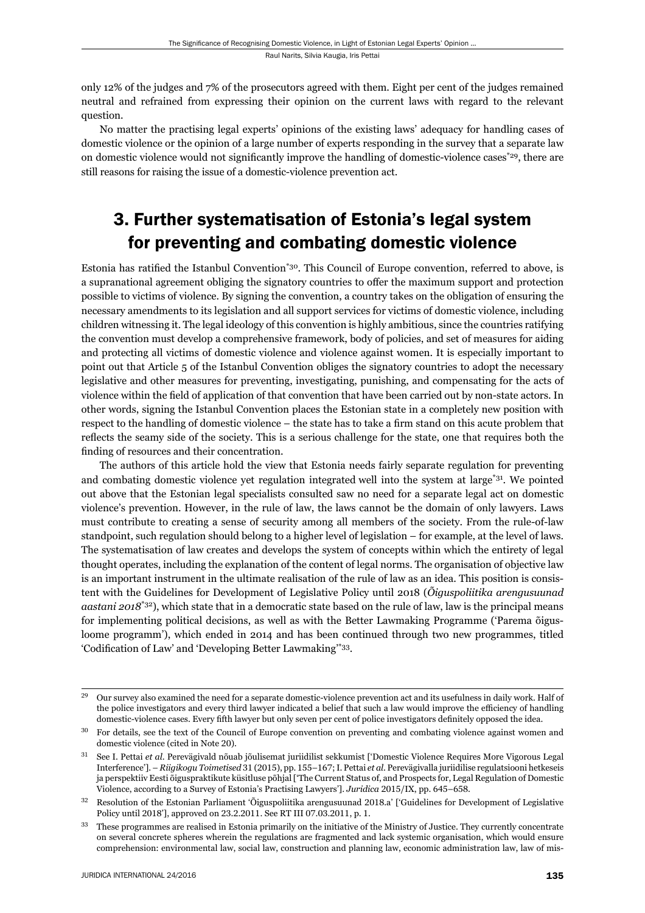only 12% of the judges and 7% of the prosecutors agreed with them. Eight per cent of the judges remained neutral and refrained from expressing their opinion on the current laws with regard to the relevant question.

No matter the practising legal experts' opinions of the existing laws' adequacy for handling cases of domestic violence or the opinion of a large number of experts responding in the survey that a separate law on domestic violence would not significantly improve the handling of domestic-violence cases<sup>\*29</sup>, there are still reasons for raising the issue of a domestic-violence prevention act.

## 3. Further systematisation of Estonia's legal system for preventing and combating domestic violence

Estonia has ratified the Istanbul Convention<sup>\*30</sup>. This Council of Europe convention, referred to above, is a supranational agreement obliging the signatory countries to offer the maximum support and protection possible to victims of violence. By signing the convention, a country takes on the obligation of ensuring the necessary amendments to its legislation and all support services for victims of domestic violence, including children witnessing it. The legal ideology of this convention is highly ambitious, since the countries ratifying the convention must develop a comprehensive framework, body of policies, and set of measures for aiding and protecting all victims of domestic violence and violence against women. It is especially important to point out that Article 5 of the Istanbul Convention obliges the signatory countries to adopt the necessary legislative and other measures for preventing, investigating, punishing, and compensating for the acts of violence within the field of application of that convention that have been carried out by non-state actors. In other words, signing the Istanbul Convention places the Estonian state in a completely new position with respect to the handling of domestic violence – the state has to take a firm stand on this acute problem that reflects the seamy side of the society. This is a serious challenge for the state, one that requires both the finding of resources and their concentration.

The authors of this article hold the view that Estonia needs fairly separate regulation for preventing and combating domestic violence yet regulation integrated well into the system at large\*31. We pointed out above that the Estonian legal specialists consulted saw no need for a separate legal act on domestic violence's prevention. However, in the rule of law, the laws cannot be the domain of only lawyers. Laws must contribute to creating a sense of security among all members of the society. From the rule-of-law standpoint, such regulation should belong to a higher level of legislation – for example, at the level of laws. The systematisation of law creates and develops the system of concepts within which the entirety of legal thought operates, including the explanation of the content of legal norms. The organisation of objective law is an important instrument in the ultimate realisation of the rule of law as an idea. This position is consistent with the Guidelines for Development of Legislative Policy until 2018 (*Õiguspoliitika arengusuunad aastani 2018*\*32), which state that in a democratic state based on the rule of law, law is the principal means for implementing political decisions, as well as with the Better Lawmaking Programme ('Parema õigusloome programm'), which ended in 2014 and has been continued through two new programmes, titled 'Codification of Law' and 'Developing Better Lawmaking'\*33.

 $\overline{a}$ <sup>29</sup> Our survey also examined the need for a separate domestic-violence prevention act and its usefulness in daily work. Half of the police investigators and every third lawyer indicated a belief that such a law would improve the efficiency of handling domestic-violence cases. Every fifth lawyer but only seven per cent of police investigators definitely opposed the idea.

<sup>&</sup>lt;sup>30</sup> For details, see the text of the Council of Europe convention on preventing and combating violence against women and domestic violence (cited in Note 20).

ɴɲ See I. Pettai *et al*. Perevägivald nõuab jõulisemat juriidilist sekkumist ['Domestic Violence Requires More Vigorous Legal Interference']. – *Riigikogu Toimetised* 31 (2015), pp. 155–167; I. Pettai *et al.* Perevägivalla juriidilise regulatsiooni hetkeseis ja perspektiiv Eesti õiguspraktikute küsitluse põhjal ['The Current Status of, and Prospects for, Legal Regulation of Domestic Violence, according to a Survey of Estonia's Practising Lawyers']. *Juridica* 2015/IX, pp. 645-658.

<sup>&</sup>lt;sup>32</sup> Resolution of the Estonian Parliament 'Õiguspoliitika arengusuunad 2018.a' ['Guidelines for Development of Legislative Policy until 2018'], approved on 23.2.2011. See RT III 07.03.2011, p. 1.

<sup>&</sup>lt;sup>33</sup> These programmes are realised in Estonia primarily on the initiative of the Ministry of Justice. They currently concentrate on several concrete spheres wherein the regulations are fragmented and lack systemic organisation, which would ensure comprehension: environmental law, social law, construction and planning law, economic administration law, law of mis-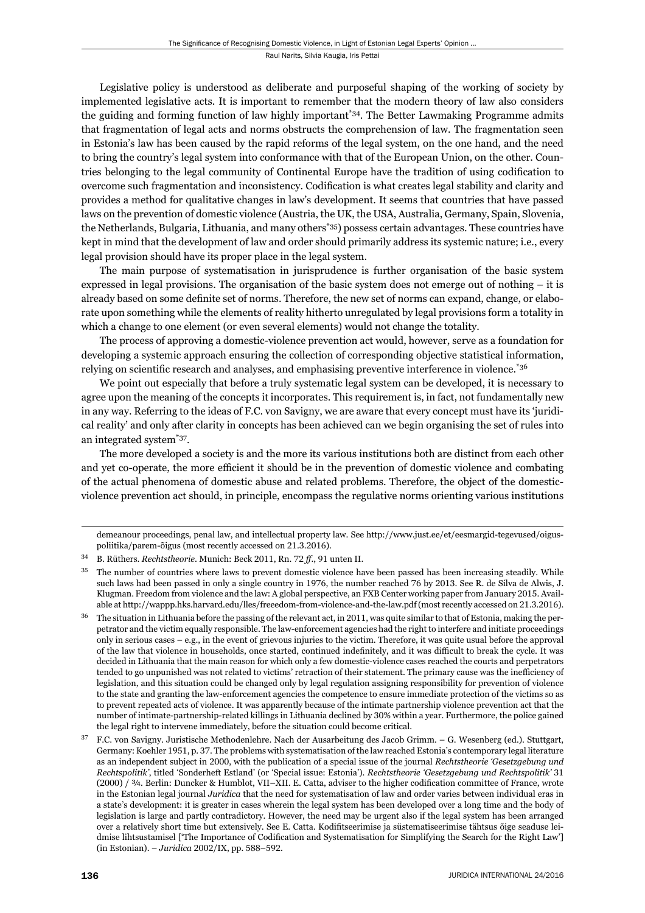Legislative policy is understood as deliberate and purposeful shaping of the working of society by implemented legislative acts. It is important to remember that the modern theory of law also considers the guiding and forming function of law highly important\*34. The Better Lawmaking Programme admits that fragmentation of legal acts and norms obstructs the comprehension of law. The fragmentation seen in Estonia's law has been caused by the rapid reforms of the legal system, on the one hand, and the need to bring the country's legal system into conformance with that of the European Union, on the other. Countries belonging to the legal community of Continental Europe have the tradition of using codification to overcome such fragmentation and inconsistency. Codification is what creates legal stability and clarity and provides a method for qualitative changes in law's development. It seems that countries that have passed laws on the prevention of domestic violence (Austria, the UK, the USA, Australia, Germany, Spain, Slovenia, the Netherlands, Bulgaria, Lithuania, and many others\*35) possess certain advantages. These countries have kept in mind that the development of law and order should primarily address its systemic nature; i.e., every legal provision should have its proper place in the legal system.

The main purpose of systematisation in jurisprudence is further organisation of the basic system expressed in legal provisions. The organisation of the basic system does not emerge out of nothing  $-$  it is already based on some definite set of norms. Therefore, the new set of norms can expand, change, or elaborate upon something while the elements of reality hitherto unregulated by legal provisions form a totality in which a change to one element (or even several elements) would not change the totality.

The process of approving a domestic-violence prevention act would, however, serve as a foundation for developing a systemic approach ensuring the collection of corresponding objective statistical information, relying on scientific research and analyses, and emphasising preventive interference in violence.\*36

We point out especially that before a truly systematic legal system can be developed, it is necessary to agree upon the meaning of the concepts it incorporates. This requirement is, in fact, not fundamentally new in any way. Referring to the ideas of F.C. von Savigny, we are aware that every concept must have its 'juridical reality' and only after clarity in concepts has been achieved can we begin organising the set of rules into an integrated system\*37.

The more developed a society is and the more its various institutions both are distinct from each other and yet co-operate, the more efficient it should be in the prevention of domestic violence and combating of the actual phenomena of domestic abuse and related problems. Therefore, the object of the domesticviolence prevention act should, in principle, encompass the regulative norms orienting various institutions

demeanour proceedings, penal law, and intellectual property law. See http://www.just.ee/et/eesmargid-tegevused/oiguspoliitika/parem-õigus (most recently accessed on 21.3.2016).

<sup>&</sup>lt;sup>34</sup> B. Rüthers. *Rechtstheorie*. Munich: Beck 2011, Rn. 72 ff., 91 unten II.

The number of countries where laws to prevent domestic violence have been passed has been increasing steadily. While such laws had been passed in only a single country in 1976, the number reached 76 by 2013. See R. de Silva de Alwis, J. Klugman. Freedom from violence and the law: A global perspective, an FXB Center working paper from January 2015. Available at http://wappp.hks.harvard.edu/lles/freeedom-from-violence-and-the-law.pdf (most recently accessed on 21.3.2016).

 $36$  The situation in Lithuania before the passing of the relevant act, in 2011, was quite similar to that of Estonia, making the perpetrator and the victim equally responsible. The law-enforcement agencies had the right to interfere and initiate proceedings only in serious cases – e.g., in the event of grievous injuries to the victim. Therefore, it was quite usual before the approval of the law that violence in households, once started, continued indefinitely, and it was difficult to break the cycle. It was decided in Lithuania that the main reason for which only a few domestic-violence cases reached the courts and perpetrators tended to go unpunished was not related to victims' retraction of their statement. The primary cause was the inefficiency of legislation, and this situation could be changed only by legal regulation assigning responsibility for prevention of violence to the state and granting the law-enforcement agencies the competence to ensure immediate protection of the victims so as to prevent repeated acts of violence. It was apparently because of the intimate partnership violence prevention act that the number of intimate-partnership-related killings in Lithuania declined by 30% within a year. Furthermore, the police gained the legal right to intervene immediately, before the situation could become critical.

ɴɸ F.C. von Savigny. Juristische Methodenlehre. Nach der Ausarbeitung des Jacob Grimm. – G. Wesenberg (ed.). Stuttgart, Germany: Koehler 1951, p. 37. The problems with systematisation of the law reached Estonia's contemporary legal literature as an independent subject in 2000, with the publication of a special issue of the journal *Rechtstheorie 'Gesetzgebung und Rechtspolitik'*, titled 'Sonderheft Estland' (or 'Special issue: Estonia'). *Rechtstheorie 'Gesetzgebung und Rechtspolitik'* ɴɲ (2000) / 3/4. Berlin: Duncker & Humblot, VII–XII. E. Catta, adviser to the higher codification committee of France, wrote in the Estonian legal journal *Juridica* that the need for systematisation of law and order varies between individual eras in a state's development: it is greater in cases wherein the legal system has been developed over a long time and the body of legislation is large and partly contradictory. However, the need may be urgent also if the legal system has been arranged over a relatively short time but extensively. See E. Catta. Kodifitseerimise ja süstematiseerimise tähtsus õige seaduse leidmise lihtsustamisel ['The Importance of Codification and Systematisation for Simplifying the Search for the Right Law'] (in Estonian). – *Juridica* 2002/IX, pp. 588-592.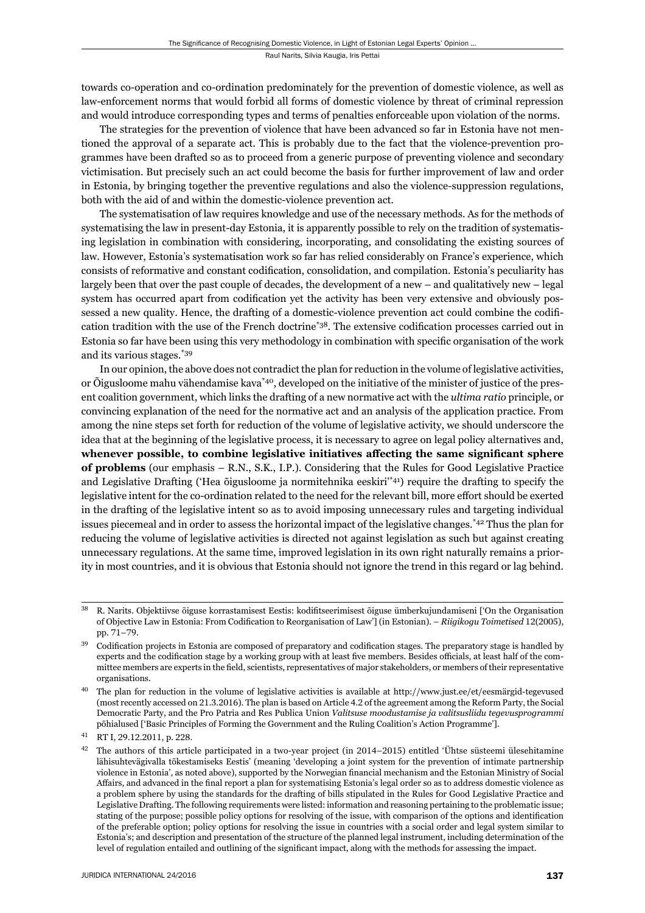towards co-operation and co-ordination predominately for the prevention of domestic violence, as well as law-enforcement norms that would forbid all forms of domestic violence by threat of criminal repression and would introduce corresponding types and terms of penalties enforceable upon violation of the norms.

The strategies for the prevention of violence that have been advanced so far in Estonia have not mentioned the approval of a separate act. This is probably due to the fact that the violence-prevention programmes have been drafted so as to proceed from a generic purpose of preventing violence and secondary victimisation. But precisely such an act could become the basis for further improvement of law and order in Estonia, by bringing together the preventive regulations and also the violence-suppression regulations, both with the aid of and within the domestic-violence prevention act.

The systematisation of law requires knowledge and use of the necessary methods. As for the methods of systematising the law in present-day Estonia, it is apparently possible to rely on the tradition of systematising legislation in combination with considering, incorporating, and consolidating the existing sources of law. However, Estonia's systematisation work so far has relied considerably on France's experience, which consists of reformative and constant codification, consolidation, and compilation. Estonia's peculiarity has largely been that over the past couple of decades, the development of a new – and qualitatively new – legal system has occurred apart from codification yet the activity has been very extensive and obviously possessed a new quality. Hence, the drafting of a domestic-violence prevention act could combine the codification tradition with the use of the French doctrine<sup>\*38</sup>. The extensive codification processes carried out in Estonia so far have been using this very methodology in combination with specific organisation of the work and its various stages.\*39

In our opinion, the above does not contradict the plan for reduction in the volume of legislative activities, or Õigusloome mahu vähendamise kava\*40, developed on the initiative of the minister of justice of the present coalition government, which links the drafting of a new normative act with the *ultima ratio* principle, or convincing explanation of the need for the normative act and an analysis of the application practice. From among the nine steps set forth for reduction of the volume of legislative activity, we should underscore the idea that at the beginning of the legislative process, it is necessary to agree on legal policy alternatives and, whenever possible, to combine legislative initiatives affecting the same significant sphere **of problems** (our emphasis – R.N., S.K., I.P.). Considering that the Rules for Good Legislative Practice and Legislative Drafting ('Hea õigusloome ja normitehnika eeskiri'\*41) require the drafting to specify the legislative intent for the co-ordination related to the need for the relevant bill, more effort should be exerted in the drafting of the legislative intent so as to avoid imposing unnecessary rules and targeting individual issues piecemeal and in order to assess the horizontal impact of the legislative changes.\*42 Thus the plan for reducing the volume of legislative activities is directed not against legislation as such but against creating unnecessary regulations. At the same time, improved legislation in its own right naturally remains a priority in most countries, and it is obvious that Estonia should not ignore the trend in this regard or lag behind.

R. Narits. Objektiivse õiguse korrastamisest Eestis: kodifitseerimisest õiguse ümberkujundamiseni ['On the Organisation of Objective Law in Estonia: From Codification to Reorganisation of Law'] (in Estonian). – *Riigikogu Toimetised* 12(2005), pp. 71-79.

Codification projects in Estonia are composed of preparatory and codification stages. The preparatory stage is handled by experts and the codification stage by a working group with at least five members. Besides officials, at least half of the committee members are experts in the field, scientists, representatives of major stakeholders, or members of their representative organisations.

ɵɱ The plan for reduction in the volume of legislative activities is available at http://www.just.ee/et/eesmärgid-tegevused (most recently accessed on 21.3.2016). The plan is based on Article 4.2 of the agreement among the Reform Party, the Social Democratic Party, and the Pro Patria and Res Publica Union *Valitsuse moodustamise ja valitsusliidu tegevusprogrammi* põhialused ['Basic Principles of Forming the Government and the Ruling Coalition's Action Programme'].

<sup>41</sup> RT I, 29.12.2011, p. 228.

 $42$  The authors of this article participated in a two-year project (in  $2014-2015$ ) entitled 'Ühtse süsteemi ülesehitamine lähisuhtevägivalla tõkestamiseks Eestis' (meaning 'developing a joint system for the prevention of intimate partnership violence in Estonia', as noted above), supported by the Norwegian financial mechanism and the Estonian Ministry of Social Affairs, and advanced in the final report a plan for systematising Estonia's legal order so as to address domestic violence as a problem sphere by using the standards for the drafting of bills stipulated in the Rules for Good Legislative Practice and Legislative Drafting. The following requirements were listed: information and reasoning pertaining to the problematic issue; stating of the purpose; possible policy options for resolving of the issue, with comparison of the options and identification of the preferable option; policy options for resolving the issue in countries with a social order and legal system similar to Estonia's; and description and presentation of the structure of the planned legal instrument, including determination of the level of regulation entailed and outlining of the significant impact, along with the methods for assessing the impact.